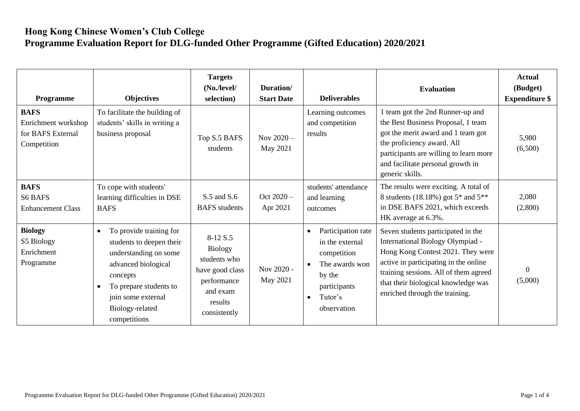## **Hong Kong Chinese Women's Club College Programme Evaluation Report for DLG-funded Other Programme (Gifted Education) 2020/2021**

| Programme                                                              | <b>Objectives</b>                                                                                                                                                                                               | <b>Targets</b><br>(No./level/<br>selection)                                                                         | Duration/<br><b>Start Date</b> | <b>Deliverables</b>                                                                                                                                               | <b>Evaluation</b>                                                                                                                                                                                                                                                      | <b>Actual</b><br>(Budget)<br><b>Expenditure \$</b> |
|------------------------------------------------------------------------|-----------------------------------------------------------------------------------------------------------------------------------------------------------------------------------------------------------------|---------------------------------------------------------------------------------------------------------------------|--------------------------------|-------------------------------------------------------------------------------------------------------------------------------------------------------------------|------------------------------------------------------------------------------------------------------------------------------------------------------------------------------------------------------------------------------------------------------------------------|----------------------------------------------------|
| <b>BAFS</b><br>Enrichment workshop<br>for BAFS External<br>Competition | To facilitate the building of<br>students' skills in writing a<br>business proposal                                                                                                                             | Top S.5 BAFS<br>students                                                                                            | Nov $2020 -$<br>May 2021       | Learning outcomes<br>and competition<br>results                                                                                                                   | 1 team got the 2nd Runner-up and<br>the Best Business Proposal, 1 team<br>got the merit award and 1 team got<br>the proficiency award. All<br>participants are willing to learn more<br>and facilitate personal growth in<br>generic skills.                           | 5,980<br>(6,500)                                   |
| <b>BAFS</b><br><b>S6 BAFS</b><br><b>Enhancement Class</b>              | To cope with students'<br>learning difficulties in DSE<br><b>BAFS</b>                                                                                                                                           | $S.5$ and $S.6$<br><b>BAFS</b> students                                                                             | Oct $2020 -$<br>Apr 2021       | students' attendance<br>and learning<br>outcomes                                                                                                                  | The results were exciting. A total of<br>8 students (18.18%) got 5 <sup>*</sup> and 5 <sup>**</sup><br>in DSE BAFS 2021, which exceeds<br>HK average at 6.3%.                                                                                                          | 2,080<br>(2,800)                                   |
| <b>Biology</b><br>S5 Biology<br>Enrichment<br>Programme                | To provide training for<br>$\bullet$<br>students to deepen their<br>understanding on some<br>advanced biological<br>concepts<br>To prepare students to<br>join some external<br>Biology-related<br>competitions | 8-12 S.5<br><b>Biology</b><br>students who<br>have good class<br>performance<br>and exam<br>results<br>consistently | Nov 2020 -<br>May 2021         | Participation rate<br>$\bullet$<br>in the external<br>competition<br>The awards won<br>$\bullet$<br>by the<br>participants<br>Tutor's<br>$\bullet$<br>observation | Seven students participated in the<br>International Biology Olympiad -<br>Hong Kong Contest 2021. They were<br>active in participating in the online<br>training sessions. All of them agreed<br>that their biological knowledge was<br>enriched through the training. | $\theta$<br>(5,000)                                |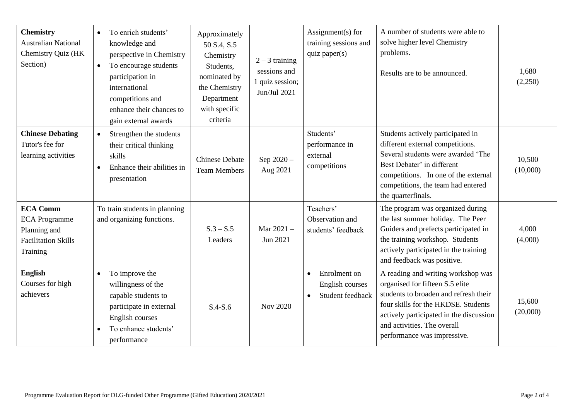| <b>Chemistry</b><br><b>Australian National</b><br>Chemistry Quiz (HK<br>Section)                  | To enrich students'<br>$\bullet$<br>knowledge and<br>perspective in Chemistry<br>To encourage students<br>$\bullet$<br>participation in<br>international<br>competitions and<br>enhance their chances to<br>gain external awards | Approximately<br>50 S.4, S.5<br>Chemistry<br>Students,<br>nominated by<br>the Chemistry<br>Department<br>with specific<br>criteria | $2 - 3$ training<br>sessions and<br>1 quiz session;<br>Jun/Jul 2021 | Assignment(s) for<br>training sessions and<br>quiz paper(s)                   | A number of students were able to<br>solve higher level Chemistry<br>problems.<br>Results are to be announced.                                                                                                                                                 | 1,680<br>(2,250)   |
|---------------------------------------------------------------------------------------------------|----------------------------------------------------------------------------------------------------------------------------------------------------------------------------------------------------------------------------------|------------------------------------------------------------------------------------------------------------------------------------|---------------------------------------------------------------------|-------------------------------------------------------------------------------|----------------------------------------------------------------------------------------------------------------------------------------------------------------------------------------------------------------------------------------------------------------|--------------------|
| <b>Chinese Debating</b><br>Tutor's fee for<br>learning activities                                 | Strengthen the students<br>$\bullet$<br>their critical thinking<br>skills<br>Enhance their abilities in<br>presentation                                                                                                          | <b>Chinese Debate</b><br><b>Team Members</b>                                                                                       | Sep 2020-<br>Aug 2021                                               | Students'<br>performance in<br>external<br>competitions                       | Students actively participated in<br>different external competitions.<br>Several students were awarded 'The<br>Best Debater' in different<br>competitions. In one of the external<br>competitions, the team had entered<br>the quarterfinals.                  | 10,500<br>(10,000) |
| <b>ECA Comm</b><br><b>ECA</b> Programme<br>Planning and<br><b>Facilitation Skills</b><br>Training | To train students in planning<br>and organizing functions.                                                                                                                                                                       | $S.3 - S.5$<br>Leaders                                                                                                             | Mar $2021 -$<br>Jun 2021                                            | Teachers'<br>Observation and<br>students' feedback                            | The program was organized during<br>the last summer holiday. The Peer<br>Guiders and prefects participated in<br>the training workshop. Students<br>actively participated in the training<br>and feedback was positive.                                        | 4,000<br>(4,000)   |
| English<br>Courses for high<br>achievers                                                          | To improve the<br>$\bullet$<br>willingness of the<br>capable students to<br>participate in external<br>English courses<br>To enhance students'<br>$\bullet$<br>performance                                                       | $S.4-S.6$                                                                                                                          | <b>Nov 2020</b>                                                     | Enrolment on<br>$\bullet$<br>English courses<br>Student feedback<br>$\bullet$ | A reading and writing workshop was<br>organised for fifteen S.5 elite<br>students to broaden and refresh their<br>four skills for the HKDSE. Students<br>actively participated in the discussion<br>and activities. The overall<br>performance was impressive. | 15,600<br>(20,000) |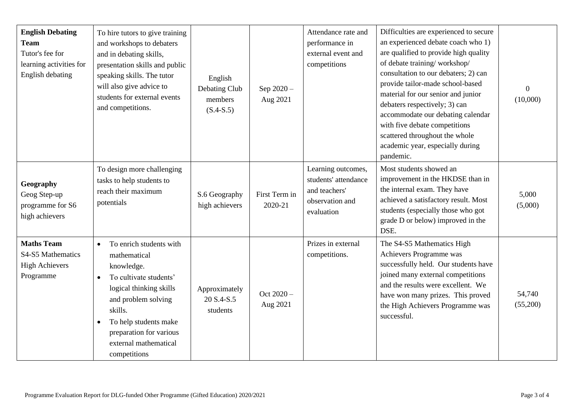| <b>English Debating</b><br><b>Team</b><br>Tutor's fee for<br>learning activities for<br>English debating | To hire tutors to give training<br>and workshops to debaters<br>and in debating skills,<br>presentation skills and public<br>speaking skills. The tutor<br>will also give advice to<br>students for external events<br>and competitions.                                         | English<br>Debating Club<br>members<br>$(S.4-S.5)$ | Sep 2020-<br>Aug 2021    | Attendance rate and<br>performance in<br>external event and<br>competitions                  | Difficulties are experienced to secure<br>an experienced debate coach who 1)<br>are qualified to provide high quality<br>of debate training/workshop/<br>consultation to our debaters; 2) can<br>provide tailor-made school-based<br>material for our senior and junior<br>debaters respectively; 3) can<br>accommodate our debating calendar<br>with five debate competitions<br>scattered throughout the whole<br>academic year, especially during<br>pandemic. | $\overline{0}$<br>(10,000) |
|----------------------------------------------------------------------------------------------------------|----------------------------------------------------------------------------------------------------------------------------------------------------------------------------------------------------------------------------------------------------------------------------------|----------------------------------------------------|--------------------------|----------------------------------------------------------------------------------------------|-------------------------------------------------------------------------------------------------------------------------------------------------------------------------------------------------------------------------------------------------------------------------------------------------------------------------------------------------------------------------------------------------------------------------------------------------------------------|----------------------------|
| Geography<br>Geog Step-up<br>programme for S6<br>high achievers                                          | To design more challenging<br>tasks to help students to<br>reach their maximum<br>potentials                                                                                                                                                                                     | S.6 Geography<br>high achievers                    | First Term in<br>2020-21 | Learning outcomes,<br>students' attendance<br>and teachers'<br>observation and<br>evaluation | Most students showed an<br>improvement in the HKDSE than in<br>the internal exam. They have<br>achieved a satisfactory result. Most<br>students (especially those who got<br>grade D or below) improved in the<br>DSE.                                                                                                                                                                                                                                            | 5,000<br>(5,000)           |
| <b>Maths Team</b><br>S4-S5 Mathematics<br><b>High Achievers</b><br>Programme                             | To enrich students with<br>$\bullet$<br>mathematical<br>knowledge.<br>To cultivate students'<br>$\bullet$<br>logical thinking skills<br>and problem solving<br>skills.<br>To help students make<br>$\bullet$<br>preparation for various<br>external mathematical<br>competitions | Approximately<br>20 S.4-S.5<br>students            | Oct 2020 -<br>Aug 2021   | Prizes in external<br>competitions.                                                          | The S4-S5 Mathematics High<br>Achievers Programme was<br>successfully held. Our students have<br>joined many external competitions<br>and the results were excellent. We<br>have won many prizes. This proved<br>the High Achievers Programme was<br>successful.                                                                                                                                                                                                  | 54,740<br>(55,200)         |